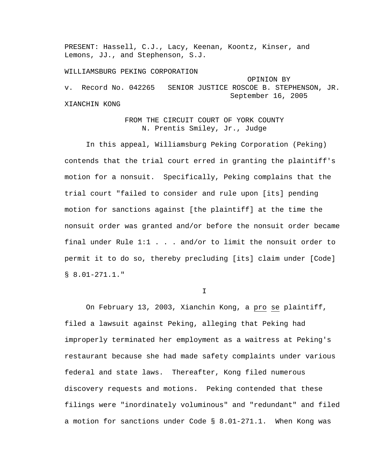PRESENT: Hassell, C.J., Lacy, Keenan, Koontz, Kinser, and Lemons, JJ., and Stephenson, S.J.

WILLIAMSBURG PEKING CORPORATION OPINION BY v. Record No. 042265 SENIOR JUSTICE ROSCOE B. STEPHENSON, JR. September 16, 2005 XIANCHIN KONG

> FROM THE CIRCUIT COURT OF YORK COUNTY N. Prentis Smiley, Jr., Judge

 In this appeal, Williamsburg Peking Corporation (Peking) contends that the trial court erred in granting the plaintiff's motion for a nonsuit. Specifically, Peking complains that the trial court "failed to consider and rule upon [its] pending motion for sanctions against [the plaintiff] at the time the nonsuit order was granted and/or before the nonsuit order became final under Rule 1:1 . . . and/or to limit the nonsuit order to permit it to do so, thereby precluding [its] claim under [Code]  $$8.01-271.1."$ 

I

On February 13, 2003, Xianchin Kong, a pro se plaintiff, filed a lawsuit against Peking, alleging that Peking had improperly terminated her employment as a waitress at Peking's restaurant because she had made safety complaints under various federal and state laws. Thereafter, Kong filed numerous discovery requests and motions. Peking contended that these filings were "inordinately voluminous" and "redundant" and filed a motion for sanctions under Code § 8.01-271.1. When Kong was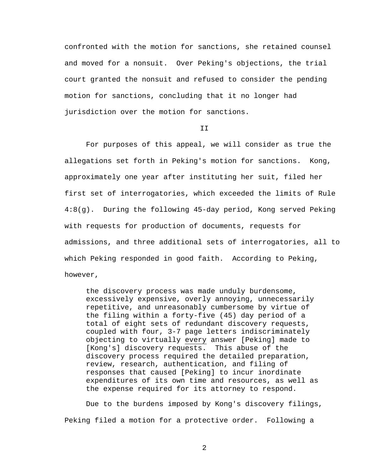confronted with the motion for sanctions, she retained counsel and moved for a nonsuit. Over Peking's objections, the trial court granted the nonsuit and refused to consider the pending motion for sanctions, concluding that it no longer had jurisdiction over the motion for sanctions.

T<sub>T</sub>

 For purposes of this appeal, we will consider as true the allegations set forth in Peking's motion for sanctions. Kong, approximately one year after instituting her suit, filed her first set of interrogatories, which exceeded the limits of Rule 4:8(g). During the following 45-day period, Kong served Peking with requests for production of documents, requests for admissions, and three additional sets of interrogatories, all to which Peking responded in good faith. According to Peking, however,

the discovery process was made unduly burdensome, excessively expensive, overly annoying, unnecessarily repetitive, and unreasonably cumbersome by virtue of the filing within a forty-five (45) day period of a total of eight sets of redundant discovery requests, coupled with four, 3-7 page letters indiscriminately objecting to virtually every answer [Peking] made to [Kong's] discovery requests. This abuse of the discovery process required the detailed preparation, review, research, authentication, and filing of responses that caused [Peking] to incur inordinate expenditures of its own time and resources, as well as the expense required for its attorney to respond.

 Due to the burdens imposed by Kong's discovery filings, Peking filed a motion for a protective order. Following a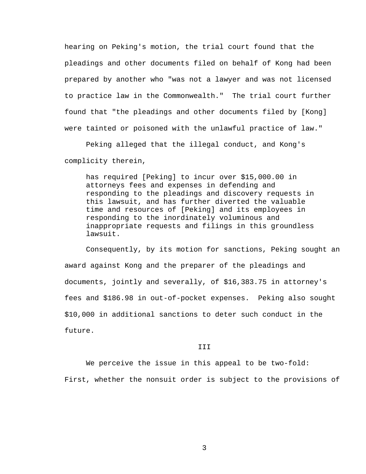hearing on Peking's motion, the trial court found that the pleadings and other documents filed on behalf of Kong had been prepared by another who "was not a lawyer and was not licensed to practice law in the Commonwealth." The trial court further found that "the pleadings and other documents filed by [Kong] were tainted or poisoned with the unlawful practice of law."

 Peking alleged that the illegal conduct, and Kong's complicity therein,

has required [Peking] to incur over \$15,000.00 in attorneys fees and expenses in defending and responding to the pleadings and discovery requests in this lawsuit, and has further diverted the valuable time and resources of [Peking] and its employees in responding to the inordinately voluminous and inappropriate requests and filings in this groundless lawsuit.

 Consequently, by its motion for sanctions, Peking sought an award against Kong and the preparer of the pleadings and documents, jointly and severally, of \$16,383.75 in attorney's fees and \$186.98 in out-of-pocket expenses. Peking also sought \$10,000 in additional sanctions to deter such conduct in the future.

## III

We perceive the issue in this appeal to be two-fold:

First, whether the nonsuit order is subject to the provisions of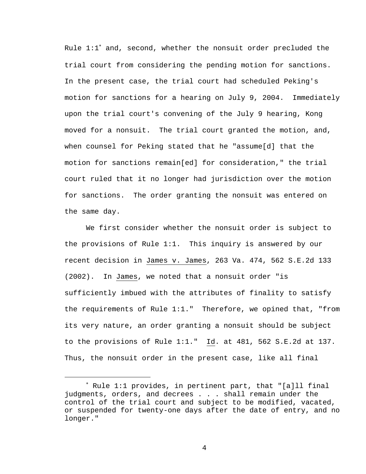Rule 1:1<sup>∗</sup> and, second, whether the nonsuit order precluded the trial court from considering the pending motion for sanctions. In the present case, the trial court had scheduled Peking's motion for sanctions for a hearing on July 9, 2004. Immediately upon the trial court's convening of the July 9 hearing, Kong moved for a nonsuit. The trial court granted the motion, and, when counsel for Peking stated that he "assume[d] that the motion for sanctions remain[ed] for consideration," the trial court ruled that it no longer had jurisdiction over the motion for sanctions. The order granting the nonsuit was entered on the same day.

 We first consider whether the nonsuit order is subject to the provisions of Rule 1:1. This inquiry is answered by our recent decision in James v. James, 263 Va. 474, 562 S.E.2d 133 (2002). In James, we noted that a nonsuit order "is sufficiently imbued with the attributes of finality to satisfy the requirements of Rule 1:1." Therefore, we opined that, "from its very nature, an order granting a nonsuit should be subject to the provisions of Rule 1:1." Id. at 481, 562 S.E.2d at 137. Thus, the nonsuit order in the present case, like all final

i

<sup>∗</sup> Rule 1:1 provides, in pertinent part, that "[a]ll final judgments, orders, and decrees . . . shall remain under the control of the trial court and subject to be modified, vacated, or suspended for twenty-one days after the date of entry, and no longer."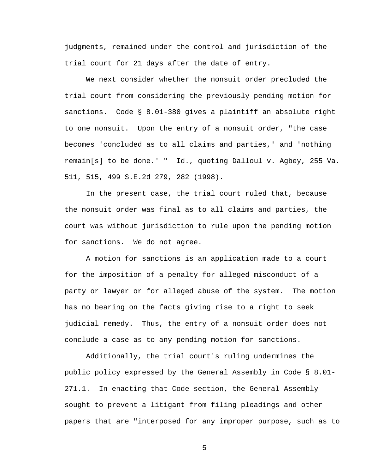judgments, remained under the control and jurisdiction of the trial court for 21 days after the date of entry.

 We next consider whether the nonsuit order precluded the trial court from considering the previously pending motion for sanctions. Code § 8.01-380 gives a plaintiff an absolute right to one nonsuit. Upon the entry of a nonsuit order, "the case becomes 'concluded as to all claims and parties,' and 'nothing remain[s] to be done.' " Id., quoting Dalloul v. Agbey, 255 Va. 511, 515, 499 S.E.2d 279, 282 (1998).

 In the present case, the trial court ruled that, because the nonsuit order was final as to all claims and parties, the court was without jurisdiction to rule upon the pending motion for sanctions. We do not agree.

A motion for sanctions is an application made to a court for the imposition of a penalty for alleged misconduct of a party or lawyer or for alleged abuse of the system. The motion has no bearing on the facts giving rise to a right to seek judicial remedy. Thus, the entry of a nonsuit order does not conclude a case as to any pending motion for sanctions.

Additionally, the trial court's ruling undermines the public policy expressed by the General Assembly in Code § 8.01- 271.1. In enacting that Code section, the General Assembly sought to prevent a litigant from filing pleadings and other papers that are "interposed for any improper purpose, such as to